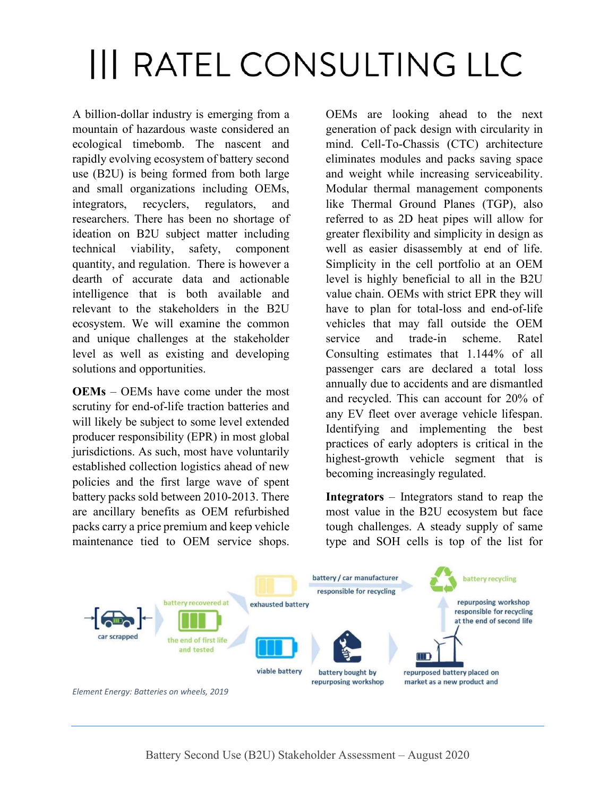## **III RATEL CONSULTING LLC**

A billion-dollar industry is emerging from a mountain of hazardous waste considered an ecological timebomb. The nascent and rapidly evolving ecosystem of battery second use (B2U) is being formed from both large and small organizations including OEMs, integrators, recyclers, regulators, and researchers. There has been no shortage of ideation on B2U subject matter including technical viability, safety, component quantity, and regulation. There is however a dearth of accurate data and actionable intelligence that is both available and relevant to the stakeholders in the B2U ecosystem. We will examine the common and unique challenges at the stakeholder level as well as existing and developing solutions and opportunities.

OEMs – OEMs have come under the most scrutiny for end-of-life traction batteries and will likely be subject to some level extended producer responsibility (EPR) in most global jurisdictions. As such, most have voluntarily established collection logistics ahead of new policies and the first large wave of spent battery packs sold between 2010-2013. There are ancillary benefits as OEM refurbished packs carry a price premium and keep vehicle maintenance tied to OEM service shops.

OEMs are looking ahead to the next generation of pack design with circularity in mind. Cell-To-Chassis (CTC) architecture eliminates modules and packs saving space and weight while increasing serviceability. Modular thermal management components like Thermal Ground Planes (TGP), also referred to as 2D heat pipes will allow for greater flexibility and simplicity in design as well as easier disassembly at end of life. Simplicity in the cell portfolio at an OEM level is highly beneficial to all in the B2U value chain. OEMs with strict EPR they will have to plan for total-loss and end-of-life vehicles that may fall outside the OEM service and trade-in scheme. Ratel Consulting estimates that 1.144% of all passenger cars are declared a total loss annually due to accidents and are dismantled and recycled. This can account for 20% of any EV fleet over average vehicle lifespan. Identifying and implementing the best practices of early adopters is critical in the highest-growth vehicle segment that is becoming increasingly regulated.

Integrators – Integrators stand to reap the most value in the B2U ecosystem but face tough challenges. A steady supply of same type and SOH cells is top of the list for



Element Energy: Batteries on wheels, 2019